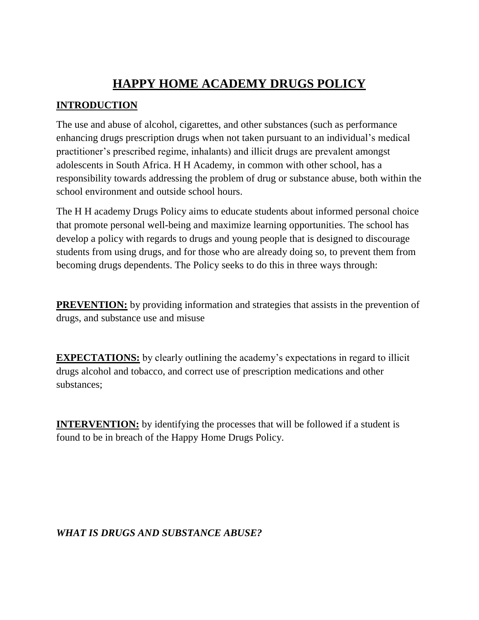# **HAPPY HOME ACADEMY DRUGS POLICY**

# **INTRODUCTION**

The use and abuse of alcohol, cigarettes, and other substances (such as performance enhancing drugs prescription drugs when not taken pursuant to an individual's medical practitioner's prescribed regime, inhalants) and illicit drugs are prevalent amongst adolescents in South Africa. H H Academy, in common with other school, has a responsibility towards addressing the problem of drug or substance abuse, both within the school environment and outside school hours.

The H H academy Drugs Policy aims to educate students about informed personal choice that promote personal well-being and maximize learning opportunities. The school has develop a policy with regards to drugs and young people that is designed to discourage students from using drugs, and for those who are already doing so, to prevent them from becoming drugs dependents. The Policy seeks to do this in three ways through:

**PREVENTION:** by providing information and strategies that assists in the prevention of drugs, and substance use and misuse

**EXPECTATIONS:** by clearly outlining the academy's expectations in regard to illicit drugs alcohol and tobacco, and correct use of prescription medications and other substances;

**INTERVENTION:** by identifying the processes that will be followed if a student is found to be in breach of the Happy Home Drugs Policy.

## *WHAT IS DRUGS AND SUBSTANCE ABUSE?*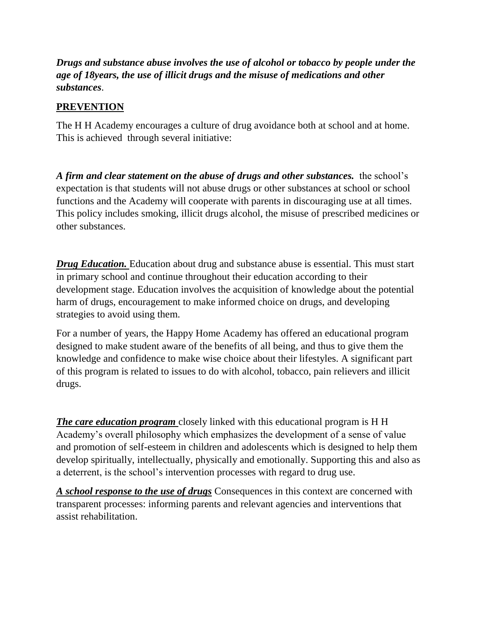*Drugs and substance abuse involves the use of alcohol or tobacco by people under the age of 18years, the use of illicit drugs and the misuse of medications and other substances*.

# **PREVENTION**

The H H Academy encourages a culture of drug avoidance both at school and at home. This is achieved through several initiative:

*A firm and clear statement on the abuse of drugs and other substances.* the school's expectation is that students will not abuse drugs or other substances at school or school functions and the Academy will cooperate with parents in discouraging use at all times. This policy includes smoking, illicit drugs alcohol, the misuse of prescribed medicines or other substances.

*Drug Education.* Education about drug and substance abuse is essential. This must start in primary school and continue throughout their education according to their development stage. Education involves the acquisition of knowledge about the potential harm of drugs, encouragement to make informed choice on drugs, and developing strategies to avoid using them.

For a number of years, the Happy Home Academy has offered an educational program designed to make student aware of the benefits of all being, and thus to give them the knowledge and confidence to make wise choice about their lifestyles. A significant part of this program is related to issues to do with alcohol, tobacco, pain relievers and illicit drugs.

*The care education program* closely linked with this educational program is H H Academy's overall philosophy which emphasizes the development of a sense of value and promotion of self-esteem in children and adolescents which is designed to help them develop spiritually, intellectually, physically and emotionally. Supporting this and also as a deterrent, is the school's intervention processes with regard to drug use.

*A school response to the use of drugs* Consequences in this context are concerned with transparent processes: informing parents and relevant agencies and interventions that assist rehabilitation.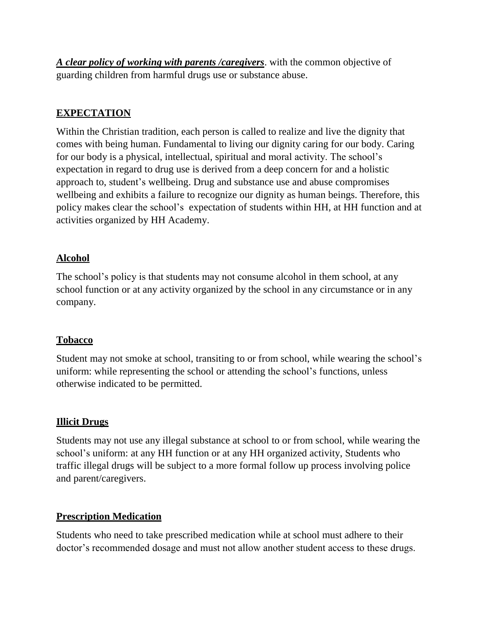*A clear policy of working with parents /caregivers*. with the common objective of guarding children from harmful drugs use or substance abuse.

### **EXPECTATION**

Within the Christian tradition, each person is called to realize and live the dignity that comes with being human. Fundamental to living our dignity caring for our body. Caring for our body is a physical, intellectual, spiritual and moral activity. The school's expectation in regard to drug use is derived from a deep concern for and a holistic approach to, student's wellbeing. Drug and substance use and abuse compromises wellbeing and exhibits a failure to recognize our dignity as human beings. Therefore, this policy makes clear the school's expectation of students within HH, at HH function and at activities organized by HH Academy.

## **Alcohol**

The school's policy is that students may not consume alcohol in them school, at any school function or at any activity organized by the school in any circumstance or in any company.

#### **Tobacco**

Student may not smoke at school, transiting to or from school, while wearing the school's uniform: while representing the school or attending the school's functions, unless otherwise indicated to be permitted.

#### **Illicit Drugs**

Students may not use any illegal substance at school to or from school, while wearing the school's uniform: at any HH function or at any HH organized activity, Students who traffic illegal drugs will be subject to a more formal follow up process involving police and parent/caregivers.

## **Prescription Medication**

Students who need to take prescribed medication while at school must adhere to their doctor's recommended dosage and must not allow another student access to these drugs.